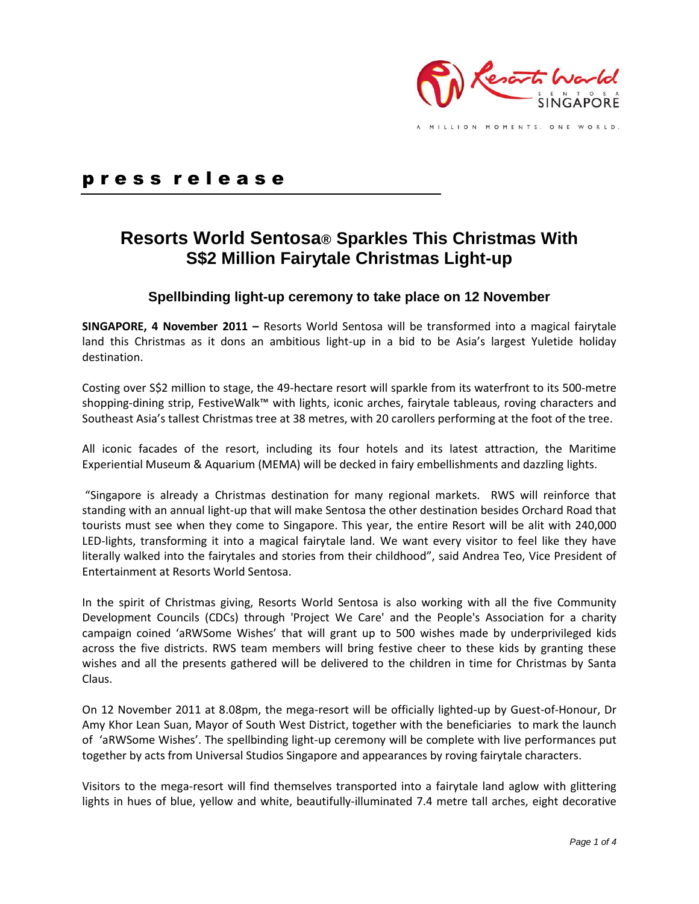

p r e s s r e l e a s e

# **Resorts World Sentosa® Sparkles This Christmas With S\$2 Million Fairytale Christmas Light-up**

## **Spellbinding light-up ceremony to take place on 12 November**

**SINGAPORE, 4 November 2011 –** Resorts World Sentosa will be transformed into a magical fairytale land this Christmas as it dons an ambitious light-up in a bid to be Asia's largest Yuletide holiday destination.

Costing over S\$2 million to stage, the 49-hectare resort will sparkle from its waterfront to its 500-metre shopping-dining strip, FestiveWalk™ with lights, iconic arches, fairytale tableaus, roving characters and Southeast Asia's tallest Christmas tree at 38 metres, with 20 carollers performing at the foot of the tree.

All iconic facades of the resort, including its four hotels and its latest attraction, the Maritime Experiential Museum & Aquarium (MEMA) will be decked in fairy embellishments and dazzling lights.

"Singapore is already a Christmas destination for many regional markets. RWS will reinforce that standing with an annual light-up that will make Sentosa the other destination besides Orchard Road that tourists must see when they come to Singapore. This year, the entire Resort will be alit with 240,000 LED-lights, transforming it into a magical fairytale land. We want every visitor to feel like they have literally walked into the fairytales and stories from their childhood", said Andrea Teo, Vice President of Entertainment at Resorts World Sentosa.

In the spirit of Christmas giving, Resorts World Sentosa is also working with all the five Community Development Councils (CDCs) through 'Project We Care' and the People's Association for a charity campaign coined 'aRWSome Wishes' that will grant up to 500 wishes made by underprivileged kids across the five districts. RWS team members will bring festive cheer to these kids by granting these wishes and all the presents gathered will be delivered to the children in time for Christmas by Santa Claus.

On 12 November 2011 at 8.08pm, the mega-resort will be officially lighted-up by Guest-of-Honour, Dr Amy Khor Lean Suan, Mayor of South West District, together with the beneficiaries to mark the launch of 'aRWSome Wishes'. The spellbinding light-up ceremony will be complete with live performances put together by acts from Universal Studios Singapore and appearances by roving fairytale characters.

Visitors to the mega-resort will find themselves transported into a fairytale land aglow with glittering lights in hues of blue, yellow and white, beautifully-illuminated 7.4 metre tall arches, eight decorative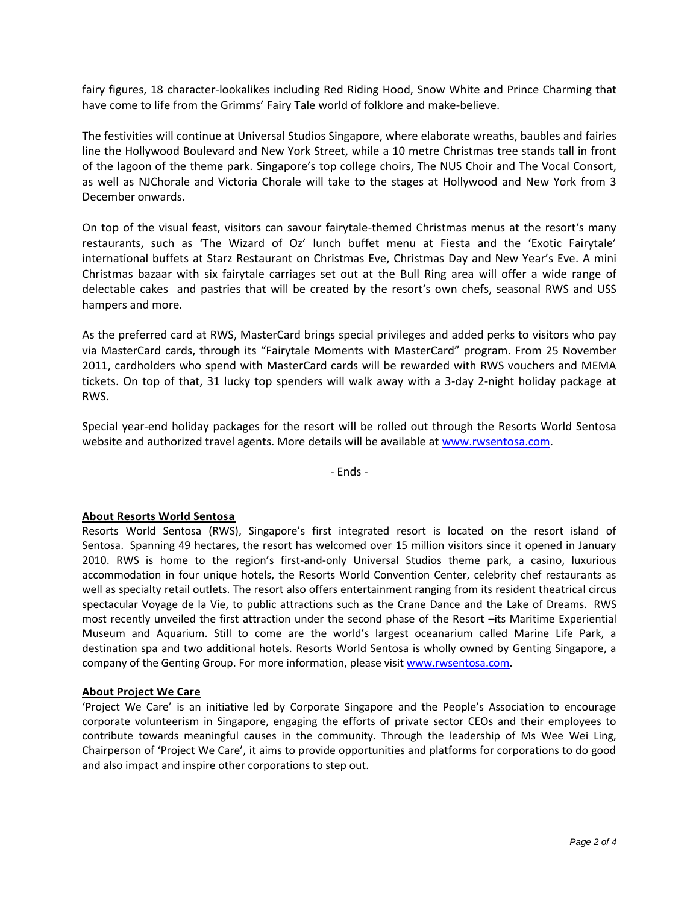fairy figures, 18 character-lookalikes including Red Riding Hood, Snow White and Prince Charming that have come to life from the Grimms' Fairy Tale world of folklore and make-believe.

The festivities will continue at Universal Studios Singapore, where elaborate wreaths, baubles and fairies line the Hollywood Boulevard and New York Street, while a 10 metre Christmas tree stands tall in front of the lagoon of the theme park. Singapore's top college choirs, The NUS Choir and The Vocal Consort, as well as NJChorale and Victoria Chorale will take to the stages at Hollywood and New York from 3 December onwards.

On top of the visual feast, visitors can savour fairytale-themed Christmas menus at the resort's many restaurants, such as 'The Wizard of Oz' lunch buffet menu at Fiesta and the 'Exotic Fairytale' international buffets at Starz Restaurant on Christmas Eve, Christmas Day and New Year's Eve. A mini Christmas bazaar with six fairytale carriages set out at the Bull Ring area will offer a wide range of delectable cakes and pastries that will be created by the resort's own chefs, seasonal RWS and USS hampers and more.

As the preferred card at RWS, MasterCard brings special privileges and added perks to visitors who pay via MasterCard cards, through its "Fairytale Moments with MasterCard" program. From 25 November 2011, cardholders who spend with MasterCard cards will be rewarded with RWS vouchers and MEMA tickets. On top of that, 31 lucky top spenders will walk away with a 3-day 2-night holiday package at RWS.

Special year-end holiday packages for the resort will be rolled out through the Resorts World Sentosa website and authorized travel agents. More details will be available at [www.rwsentosa.com.](http://www.rwsentosa.com/)

- Ends -

#### **About Resorts World Sentosa**

Resorts World Sentosa (RWS), Singapore's first integrated resort is located on the resort island of Sentosa. Spanning 49 hectares, the resort has welcomed over 15 million visitors since it opened in January 2010. RWS is home to the region's first-and-only Universal Studios theme park, a casino, luxurious accommodation in four unique hotels, the Resorts World Convention Center, celebrity chef restaurants as well as specialty retail outlets. The resort also offers entertainment ranging from its resident theatrical circus spectacular Voyage de la Vie, to public attractions such as the Crane Dance and the Lake of Dreams. RWS most recently unveiled the first attraction under the second phase of the Resort –its Maritime Experiential Museum and Aquarium. Still to come are the world's largest oceanarium called Marine Life Park, a destination spa and two additional hotels. Resorts World Sentosa is wholly owned by Genting Singapore, a company of the Genting Group. For more information, please visit [www.rwsentosa.com.](http://www.rwsentosa.com/)

#### **About Project We Care**

'Project We Care' is an initiative led by Corporate Singapore and the People's Association to encourage corporate volunteerism in Singapore, engaging the efforts of private sector CEOs and their employees to contribute towards meaningful causes in the community. Through the leadership of Ms Wee Wei Ling, Chairperson of 'Project We Care', it aims to provide opportunities and platforms for corporations to do good and also impact and inspire other corporations to step out.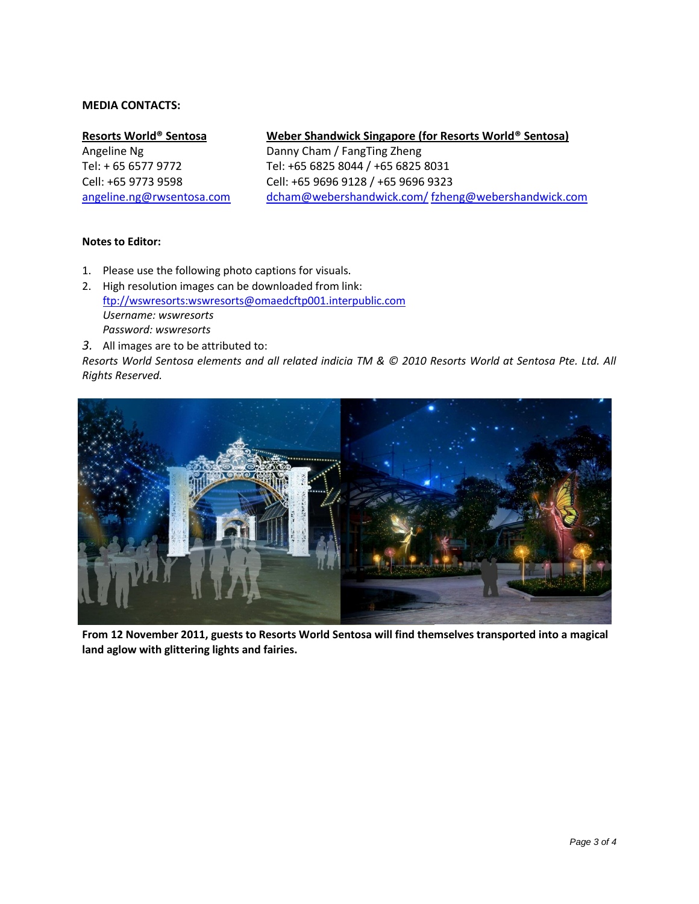### **MEDIA CONTACTS:**

#### **Resorts World® Sentosa**

Angeline Ng Tel: + 65 6577 9772 Cell: +65 9773 9598 [angeline.ng@rwsentosa.com](mailto:Angeline.ng@rwsentosa.com)

### **Weber Shandwick Singapore (for Resorts World® Sentosa)**

Danny Cham / FangTing Zheng Tel: +65 6825 8044 / +65 6825 8031 Cell: +65 9696 9128 / +65 9696 9323 [dcham@webershandwick.com/](mailto:dcham@webershandwick.com/) [fzheng@webershandwick.com](mailto:fzheng@webershandwick.com)

### **Notes to Editor:**

- 1. Please use the following photo captions for visuals.
- 2. High resolution images can be downloaded from link: [ftp://wswresorts:wswresorts@omaedcftp001.interpublic.com](ftp://wswresorts:wswresorts@omaedcftp001.interpublic.com/) *Username: wswresorts Password: wswresorts*
- *3.* All images are to be attributed to:

*Resorts World Sentosa elements and all related indicia TM & © 2010 Resorts World at Sentosa Pte. Ltd. All Rights Reserved.*



**From 12 November 2011, guests to Resorts World Sentosa will find themselves transported into a magical land aglow with glittering lights and fairies.**